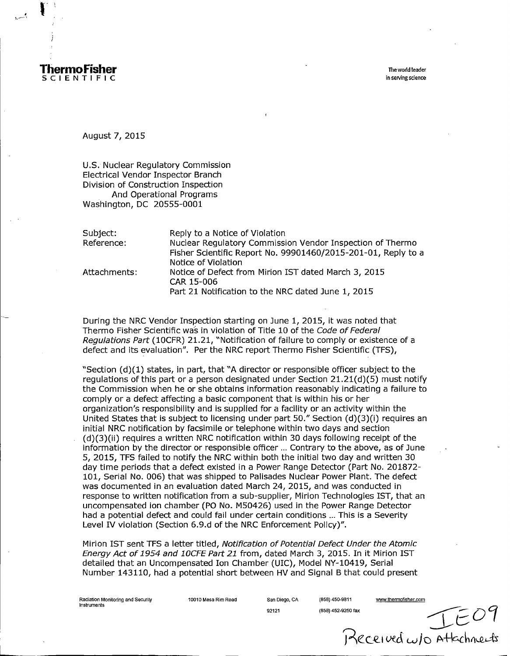

August 7, 2015

U.S. Nuclear Regulatory Commission Electrical Vendor Inspector Branch Division of Construction Inspection And Operational Programs Washington, DC 20555-0001

| Subject:     | Reply to a Notice of Violation                                                                                                                    |
|--------------|---------------------------------------------------------------------------------------------------------------------------------------------------|
| Reference:   | Nuclear Regulatory Commission Vendor Inspection of Thermo<br>Fisher Scientific Report No. 99901460/2015-201-01, Reply to a<br>Notice of Violation |
| Attachments: | Notice of Defect from Mirion IST dated March 3, 2015<br>CAR 15-006<br>Part 21 Notification to the NRC dated June 1, 2015                          |

During the NRC Vendor Inspection starting on June 1, 2015, it was noted that Thermo Fisher Scientific wa's in violation of Title 10 of the Code *of Federal Regulations Part* (10CFR) 21.21, "Notification of failure to comply or existence of a defect and its evaluation". Per the NRC report Thermo Fisher Scientific (TFS),

"Section (d)(1) states, in part, that "A director or responsible officer subject to the regulations of this part or a person designated under Section 21.21(d)(5) must notify the Commission when he or she obtains information reasonably indicating a failure to comply or a defect affecting a basic component that is within his or her organization's responsibility and is supplied for a facility or an activity within the United States that is subject to licensing under part 50." Section  $(d)(3)(i)$  requires an initial NRC notification by facsimile or telephone within two days and section (d)(3)(ii) requires a written NRC notification within 30 days following receipt of the information by the director or responsible officer ... Contrary to the above, as of June 5, 2015, TFS failed to notify the NRC within both the initial two day and written 30 day time periods that a defect existed in a Power Range Detector (Part No. 201872-101, Serial No. 006) that was shipped to Palisades Nuclear Power Plant. The defect was documented in an evaluation dated March 24, 2015, and was conducted in response to written notification from a sub-supplier, Mirion Technologies 1ST, that an uncompensated ion chamber (P0 No. M50426) used in the Power Range Detector had a potential defect and could fail under certain conditions ... This is a Severity Level IV violation (Section 6.9.d of the NRC Enforcement Policy)".

Mirion 1ST sent TFS a letter titled, *Notification of Potential Defect Under the Atomic Energy Act of 1954 and 10CFE Part 21* from, dated March 3, 2015. In it Mirion IST detailed that an Uncompensated Ion Chamber (UIC), Model NY-10419, Serial Number 143110, had a potential short between HV and Signal B that could present

Radiation Monitoring and Security 10010 Mesa Rim Road San Diego, CA (858) 450-9811 www.thermofisher.com Instruments

92121 (858) 452-9250 fax<br>Received w/o Attachneits